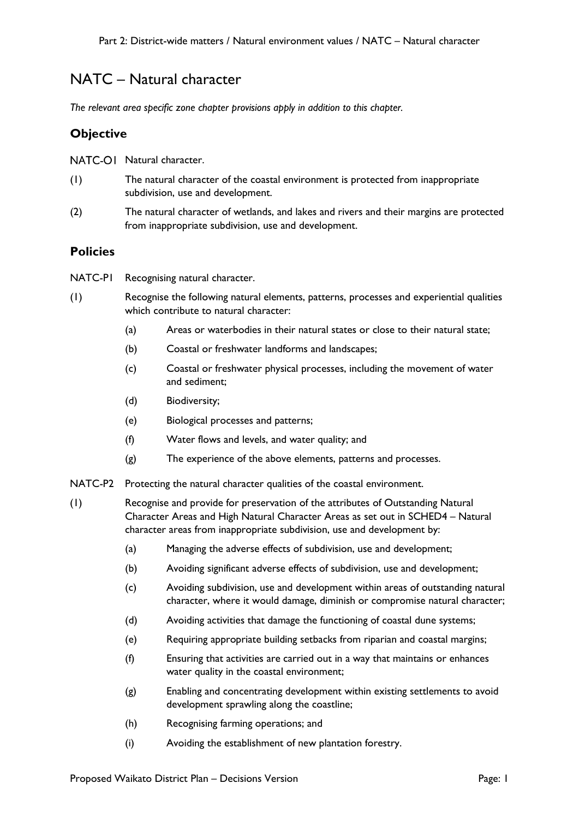# NATC – Natural character

*The relevant area specific zone chapter provisions apply in addition to this chapter.*

## **Objective**

NATC-OI Natural character.

- (1) The natural character of the coastal environment is protected from inappropriate subdivision, use and development.
- (2) The natural character of wetlands, and lakes and rivers and their margins are protected from inappropriate subdivision, use and development.

### **Policies**

- NATC-P1 Recognising natural character.
- (1) Recognise the following natural elements, patterns, processes and experiential qualities which contribute to natural character:
	- (a) Areas or waterbodies in their natural states or close to their natural state;
	- (b) Coastal or freshwater landforms and landscapes;
	- (c) Coastal or freshwater physical processes, including the movement of water and sediment;
	- (d) Biodiversity;
	- (e) Biological processes and patterns;
	- (f) Water flows and levels, and water quality; and
	- (g) The experience of the above elements, patterns and processes.
- NATC-P2 Protecting the natural character qualities of the coastal environment.
- (1) Recognise and provide for preservation of the attributes of Outstanding Natural Character Areas and High Natural Character Areas as set out in SCHED4 – Natural character areas from inappropriate subdivision, use and development by:
	- (a) Managing the adverse effects of subdivision, use and development;
	- (b) Avoiding significant adverse effects of subdivision, use and development;
	- (c) Avoiding subdivision, use and development within areas of outstanding natural character, where it would damage, diminish or compromise natural character;
	- (d) Avoiding activities that damage the functioning of coastal dune systems;
	- (e) Requiring appropriate building setbacks from riparian and coastal margins;
	- (f) Ensuring that activities are carried out in a way that maintains or enhances water quality in the coastal environment;
	- (g) Enabling and concentrating development within existing settlements to avoid development sprawling along the coastline;
	- (h) Recognising farming operations; and
	- (i) Avoiding the establishment of new plantation forestry.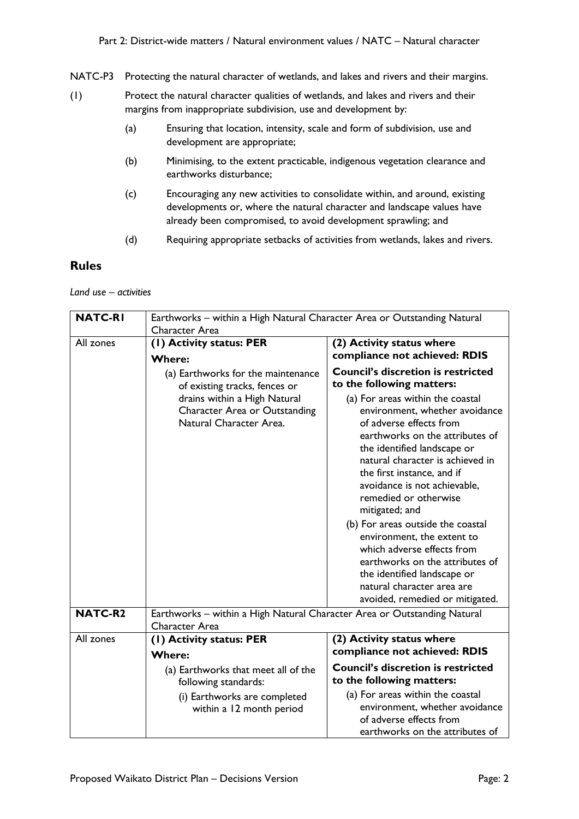NATC-P3 Protecting the natural character of wetlands, and lakes and rivers and their margins.

- (1) Protect the natural character qualities of wetlands, and lakes and rivers and their margins from inappropriate subdivision, use and development by:
	- (a) Ensuring that location, intensity, scale and form of subdivision, use and development are appropriate;
	- (b) Minimising, to the extent practicable, indigenous vegetation clearance and earthworks disturbance;
	- (c) Encouraging any new activities to consolidate within, and around, existing developments or, where the natural character and landscape values have already been compromised, to avoid development sprawling; and
	- (d) Requiring appropriate setbacks of activities from wetlands, lakes and rivers.

#### **Rules**

*Land use – activities*

| <b>NATC-RI</b> | Earthworks - within a High Natural Character Area or Outstanding Natural<br>Character Area |                                                                                                                                                                                                                                                                                                                                                                                                                                                                                                                                                  |  |
|----------------|--------------------------------------------------------------------------------------------|--------------------------------------------------------------------------------------------------------------------------------------------------------------------------------------------------------------------------------------------------------------------------------------------------------------------------------------------------------------------------------------------------------------------------------------------------------------------------------------------------------------------------------------------------|--|
| All zones      | (I) Activity status: PER<br><b>Where:</b>                                                  | (2) Activity status where<br>compliance not achieved: RDIS                                                                                                                                                                                                                                                                                                                                                                                                                                                                                       |  |
|                | (a) Earthworks for the maintenance<br>of existing tracks, fences or                        | <b>Council's discretion is restricted</b><br>to the following matters:                                                                                                                                                                                                                                                                                                                                                                                                                                                                           |  |
|                | drains within a High Natural<br>Character Area or Outstanding<br>Natural Character Area.   | (a) For areas within the coastal<br>environment, whether avoidance<br>of adverse effects from<br>earthworks on the attributes of<br>the identified landscape or<br>natural character is achieved in<br>the first instance, and if<br>avoidance is not achievable,<br>remedied or otherwise<br>mitigated; and<br>(b) For areas outside the coastal<br>environment, the extent to<br>which adverse effects from<br>earthworks on the attributes of<br>the identified landscape or<br>natural character area are<br>avoided, remedied or mitigated. |  |
| <b>NATC-R2</b> | Earthworks - within a High Natural Character Area or Outstanding Natural<br>Character Area |                                                                                                                                                                                                                                                                                                                                                                                                                                                                                                                                                  |  |
| All zones      | (I) Activity status: PER<br><b>Where:</b>                                                  | (2) Activity status where<br>compliance not achieved: RDIS                                                                                                                                                                                                                                                                                                                                                                                                                                                                                       |  |
|                | (a) Earthworks that meet all of the<br>following standards:                                | <b>Council's discretion is restricted</b><br>to the following matters:                                                                                                                                                                                                                                                                                                                                                                                                                                                                           |  |
|                | (i) Earthworks are completed<br>within a 12 month period                                   | (a) For areas within the coastal<br>environment, whether avoidance<br>of adverse effects from<br>earthworks on the attributes of                                                                                                                                                                                                                                                                                                                                                                                                                 |  |